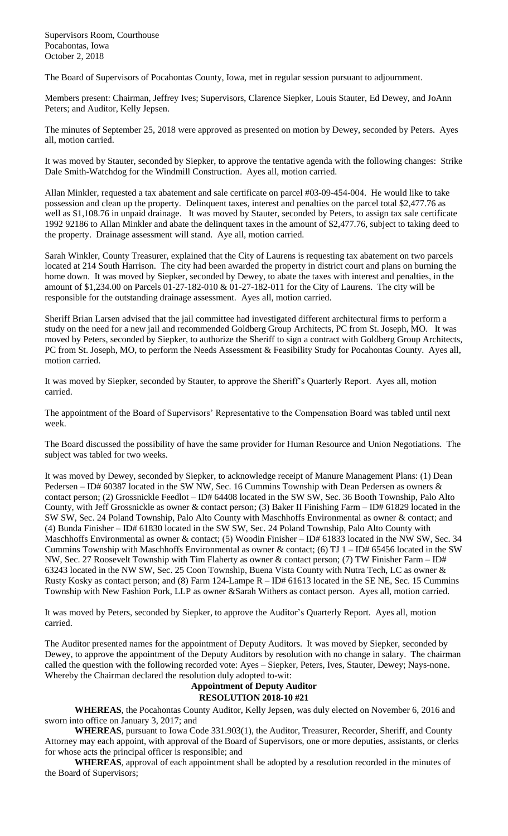Supervisors Room, Courthouse Pocahontas, Iowa October 2, 2018

The Board of Supervisors of Pocahontas County, Iowa, met in regular session pursuant to adjournment.

Members present: Chairman, Jeffrey Ives; Supervisors, Clarence Siepker, Louis Stauter, Ed Dewey, and JoAnn Peters; and Auditor, Kelly Jepsen.

The minutes of September 25, 2018 were approved as presented on motion by Dewey, seconded by Peters. Ayes all, motion carried.

It was moved by Stauter, seconded by Siepker, to approve the tentative agenda with the following changes: Strike Dale Smith-Watchdog for the Windmill Construction. Ayes all, motion carried.

Allan Minkler, requested a tax abatement and sale certificate on parcel #03-09-454-004. He would like to take possession and clean up the property. Delinquent taxes, interest and penalties on the parcel total \$2,477.76 as well as \$1,108.76 in unpaid drainage. It was moved by Stauter, seconded by Peters, to assign tax sale certificate 1992 92186 to Allan Minkler and abate the delinquent taxes in the amount of \$2,477.76, subject to taking deed to the property. Drainage assessment will stand. Aye all, motion carried.

Sarah Winkler, County Treasurer, explained that the City of Laurens is requesting tax abatement on two parcels located at 214 South Harrison. The city had been awarded the property in district court and plans on burning the home down. It was moved by Siepker, seconded by Dewey, to abate the taxes with interest and penalties, in the amount of \$1,234.00 on Parcels 01-27-182-010 & 01-27-182-011 for the City of Laurens. The city will be responsible for the outstanding drainage assessment. Ayes all, motion carried.

Sheriff Brian Larsen advised that the jail committee had investigated different architectural firms to perform a study on the need for a new jail and recommended Goldberg Group Architects, PC from St. Joseph, MO. It was moved by Peters, seconded by Siepker, to authorize the Sheriff to sign a contract with Goldberg Group Architects, PC from St. Joseph, MO, to perform the Needs Assessment & Feasibility Study for Pocahontas County. Ayes all, motion carried.

It was moved by Siepker, seconded by Stauter, to approve the Sheriff's Quarterly Report. Ayes all, motion carried.

The appointment of the Board of Supervisors' Representative to the Compensation Board was tabled until next week.

The Board discussed the possibility of have the same provider for Human Resource and Union Negotiations. The subject was tabled for two weeks.

It was moved by Dewey, seconded by Siepker, to acknowledge receipt of Manure Management Plans: (1) Dean Pedersen – ID# 60387 located in the SW NW, Sec. 16 Cummins Township with Dean Pedersen as owners & contact person; (2) Grossnickle Feedlot – ID# 64408 located in the SW SW, Sec. 36 Booth Township, Palo Alto County, with Jeff Grossnickle as owner & contact person; (3) Baker II Finishing Farm – ID# 61829 located in the SW SW, Sec. 24 Poland Township, Palo Alto County with Maschhoffs Environmental as owner & contact; and (4) Bunda Finisher – ID# 61830 located in the SW SW, Sec. 24 Poland Township, Palo Alto County with Maschhoffs Environmental as owner & contact; (5) Woodin Finisher – ID# 61833 located in the NW SW, Sec. 34 Cummins Township with Maschhoffs Environmental as owner  $\&$  contact; (6) TJ 1 – ID# 65456 located in the SW NW, Sec. 27 Roosevelt Township with Tim Flaherty as owner & contact person; (7) TW Finisher Farm – ID# 63243 located in the NW SW, Sec. 25 Coon Township, Buena Vista County with Nutra Tech, LC as owner & Rusty Kosky as contact person; and (8) Farm 124-Lampe R – ID# 61613 located in the SE NE, Sec. 15 Cummins Township with New Fashion Pork, LLP as owner &Sarah Withers as contact person. Ayes all, motion carried.

It was moved by Peters, seconded by Siepker, to approve the Auditor's Quarterly Report. Ayes all, motion carried.

The Auditor presented names for the appointment of Deputy Auditors. It was moved by Siepker, seconded by Dewey, to approve the appointment of the Deputy Auditors by resolution with no change in salary. The chairman called the question with the following recorded vote: Ayes – Siepker, Peters, Ives, Stauter, Dewey; Nays-none. Whereby the Chairman declared the resolution duly adopted to-wit:

## **Appointment of Deputy Auditor**

**RESOLUTION 2018-10 #21**

**WHEREAS**, the Pocahontas County Auditor, Kelly Jepsen, was duly elected on November 6, 2016 and sworn into office on January 3, 2017; and

**WHEREAS**, pursuant to Iowa Code 331.903(1), the Auditor, Treasurer, Recorder, Sheriff, and County Attorney may each appoint, with approval of the Board of Supervisors, one or more deputies, assistants, or clerks for whose acts the principal officer is responsible; and

**WHEREAS**, approval of each appointment shall be adopted by a resolution recorded in the minutes of the Board of Supervisors;